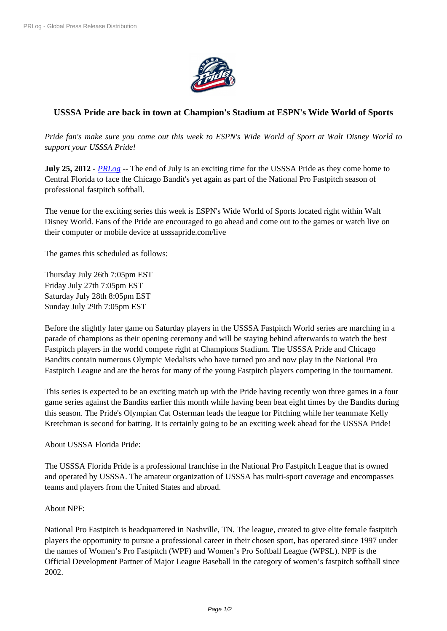

## **USSSA Pride are back in town at [Champion's S](https://biz.prlog.org/usssapride/)tadium at ESPN's Wide World of Sports**

*Pride fan's make sure you come out this week to ESPN's Wide World of Sport at Walt Disney World to support your USSSA Pride!*

**July 25, 2012** - *PRLog* -- The end of July is an exciting time for the USSSA Pride as they come home to Central Florida to face the Chicago Bandit's yet again as part of the National Pro Fastpitch season of professional fastpitch softball.

The venue for t[he excit](https://www.prlog.org)ing series this week is ESPN's Wide World of Sports located right within Walt Disney World. Fans of the Pride are encouraged to go ahead and come out to the games or watch live on their computer or mobile device at usssapride.com/live

The games this scheduled as follows:

Thursday July 26th 7:05pm EST Friday July 27th 7:05pm EST Saturday July 28th 8:05pm EST Sunday July 29th 7:05pm EST

Before the slightly later game on Saturday players in the USSSA Fastpitch World series are marching in a parade of champions as their opening ceremony and will be staying behind afterwards to watch the best Fastpitch players in the world compete right at Champions Stadium. The USSSA Pride and Chicago Bandits contain numerous Olympic Medalists who have turned pro and now play in the National Pro Fastpitch League and are the heros for many of the young Fastpitch players competing in the tournament.

This series is expected to be an exciting match up with the Pride having recently won three games in a four game series against the Bandits earlier this month while having been beat eight times by the Bandits during this season. The Pride's Olympian Cat Osterman leads the league for Pitching while her teammate Kelly Kretchman is second for batting. It is certainly going to be an exciting week ahead for the USSSA Pride!

## About USSSA Florida Pride:

The USSSA Florida Pride is a professional franchise in the National Pro Fastpitch League that is owned and operated by USSSA. The amateur organization of USSSA has multi-sport coverage and encompasses teams and players from the United States and abroad.

## About NPF:

National Pro Fastpitch is headquartered in Nashville, TN. The league, created to give elite female fastpitch players the opportunity to pursue a professional career in their chosen sport, has operated since 1997 under the names of Women's Pro Fastpitch (WPF) and Women's Pro Softball League (WPSL). NPF is the Official Development Partner of Major League Baseball in the category of women's fastpitch softball since 2002.